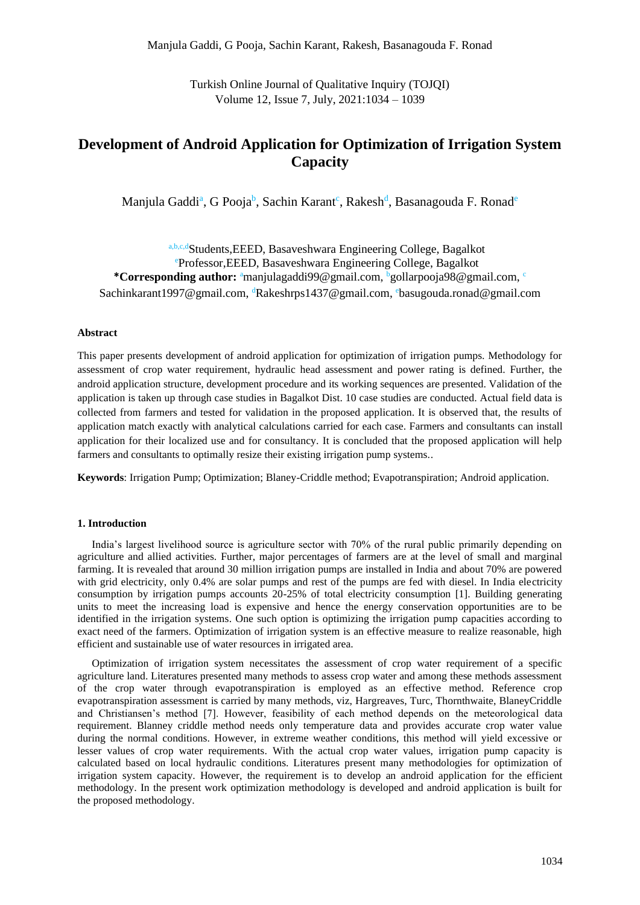Turkish Online Journal of Qualitative Inquiry (TOJQI) Volume 12, Issue 7, July, 2021:1034 – 1039

# **Development of Android Application for Optimization of Irrigation System Capacity**

Manjula Gaddi<sup>a</sup>, G Pooja<sup>b</sup>, Sachin Karant<sup>c</sup>, Rakesh<sup>d</sup>, Basanagouda F. Ronad<sup>e</sup>

a,b,c,dStudents,EEED, Basaveshwara Engineering College, Bagalkot <sup>e</sup>Professor,EEED, Basaveshwara Engineering College, Bagalkot **\*Corresponding author:** <sup>a</sup>manjulagaddi99@gmail.com, <sup>b</sup>gollarpooja98@gmail.com, <sup>c</sup> Sachinkarant1997@gmail.com, <sup>d</sup>Rakeshrps1437@gmail.com, <sup>e</sup>basugouda.ronad@gmail.com

#### **Abstract**

This paper presents development of android application for optimization of irrigation pumps. Methodology for assessment of crop water requirement, hydraulic head assessment and power rating is defined. Further, the android application structure, development procedure and its working sequences are presented. Validation of the application is taken up through case studies in Bagalkot Dist. 10 case studies are conducted. Actual field data is collected from farmers and tested for validation in the proposed application. It is observed that, the results of application match exactly with analytical calculations carried for each case. Farmers and consultants can install application for their localized use and for consultancy. It is concluded that the proposed application will help farmers and consultants to optimally resize their existing irrigation pump systems..

**Keywords**: Irrigation Pump; Optimization; Blaney-Criddle method; Evapotranspiration; Android application.

## **1. Introduction**

India's largest livelihood source is agriculture sector with 70% of the rural public primarily depending on agriculture and allied activities. Further, major percentages of farmers are at the level of small and marginal farming. It is revealed that around 30 million irrigation pumps are installed in India and about 70% are powered with grid electricity, only 0.4% are solar pumps and rest of the pumps are fed with diesel. In India electricity consumption by irrigation pumps accounts 20-25% of total electricity consumption [1]. Building generating units to meet the increasing load is expensive and hence the energy conservation opportunities are to be identified in the irrigation systems. One such option is optimizing the irrigation pump capacities according to exact need of the farmers. Optimization of irrigation system is an effective measure to realize reasonable, high efficient and sustainable use of water resources in irrigated area.

Optimization of irrigation system necessitates the assessment of crop water requirement of a specific agriculture land. Literatures presented many methods to assess crop water and among these methods assessment of the crop water through evapotranspiration is employed as an effective method. Reference crop evapotranspiration assessment is carried by many methods, viz, Hargreaves, Turc, Thornthwaite, BlaneyCriddle and Christiansen's method [7]. However, feasibility of each method depends on the meteorological data requirement. Blanney criddle method needs only temperature data and provides accurate crop water value during the normal conditions. However, in extreme weather conditions, this method will yield excessive or lesser values of crop water requirements. With the actual crop water values, irrigation pump capacity is calculated based on local hydraulic conditions. Literatures present many methodologies for optimization of irrigation system capacity. However, the requirement is to develop an android application for the efficient methodology. In the present work optimization methodology is developed and android application is built for the proposed methodology.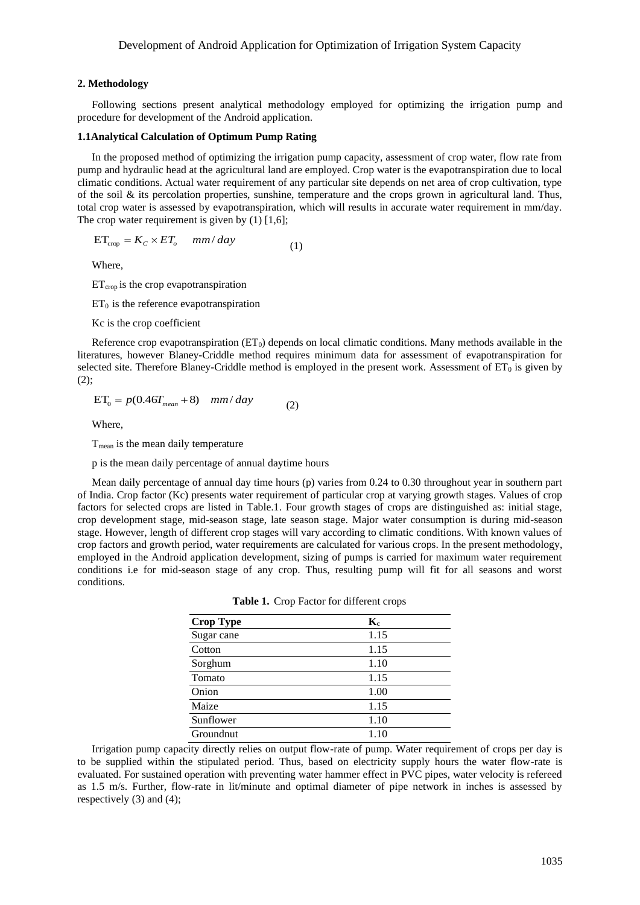#### **2. Methodology**

Following sections present analytical methodology employed for optimizing the irrigation pump and procedure for development of the Android application.

### **1.1Analytical Calculation of Optimum Pump Rating**

In the proposed method of optimizing the irrigation pump capacity, assessment of crop water, flow rate from pump and hydraulic head at the agricultural land are employed. Crop water is the evapotranspiration due to local climatic conditions. Actual water requirement of any particular site depends on net area of crop cultivation, type of the soil  $\&$  its percolation properties, sunshine, temperature and the crops grown in agricultural land. Thus, total crop water is assessed by evapotranspiration, which will results in accurate water requirement in mm/day. The crop water requirement is given by  $(1)$  [1,6];

$$
ET_{\rm crop} = K_c \times ET_o \quad mm/day \tag{1}
$$

Where,

 $ET_{\text{crop}}$  is the crop evapotranspiration

 $ET_0$  is the reference evapotranspiration

Kc is the crop coefficient

Reference crop evapotranspiration  $(ET_0)$  depends on local climatic conditions. Many methods available in the literatures, however Blaney-Criddle method requires minimum data for assessment of evapotranspiration for selected site. Therefore Blaney-Criddle method is employed in the present work. Assessment of  $ET_0$  is given by (2);

$$
ET_0 = p(0.46T_{mean} + 8) \quad mm/day \tag{2}
$$

Where,

 $T<sub>mean</sub>$  is the mean daily temperature

p is the mean daily percentage of annual daytime hours

Mean daily percentage of annual day time hours (p) varies from 0.24 to 0.30 throughout year in southern part of India. Crop factor (Kc) presents water requirement of particular crop at varying growth stages. Values of crop factors for selected crops are listed in Table.1. Four growth stages of crops are distinguished as: initial stage, crop development stage, mid-season stage, late season stage. Major water consumption is during mid-season stage. However, length of different crop stages will vary according to climatic conditions. With known values of crop factors and growth period, water requirements are calculated for various crops. In the present methodology, employed in the Android application development, sizing of pumps is carried for maximum water requirement conditions i.e for mid-season stage of any crop. Thus, resulting pump will fit for all seasons and worst conditions.

| <b>Crop Type</b> | $\mathbf{K}_{\mathbf{c}}$ |
|------------------|---------------------------|
| Sugar cane       | 1.15                      |
| Cotton           | 1.15                      |
| Sorghum          | 1.10                      |
| Tomato           | 1.15                      |
| Onion            | 1.00                      |
| Maize            | 1.15                      |
| Sunflower        | 1.10                      |
| Groundnut        | 1.10                      |

| Table 1. Crop Factor for different crops |  |  |
|------------------------------------------|--|--|
|------------------------------------------|--|--|

Irrigation pump capacity directly relies on output flow-rate of pump. Water requirement of crops per day is to be supplied within the stipulated period. Thus, based on electricity supply hours the water flow-rate is evaluated. For sustained operation with preventing water hammer effect in PVC pipes, water velocity is refereed as 1.5 m/s. Further, flow-rate in lit/minute and optimal diameter of pipe network in inches is assessed by respectively (3) and (4);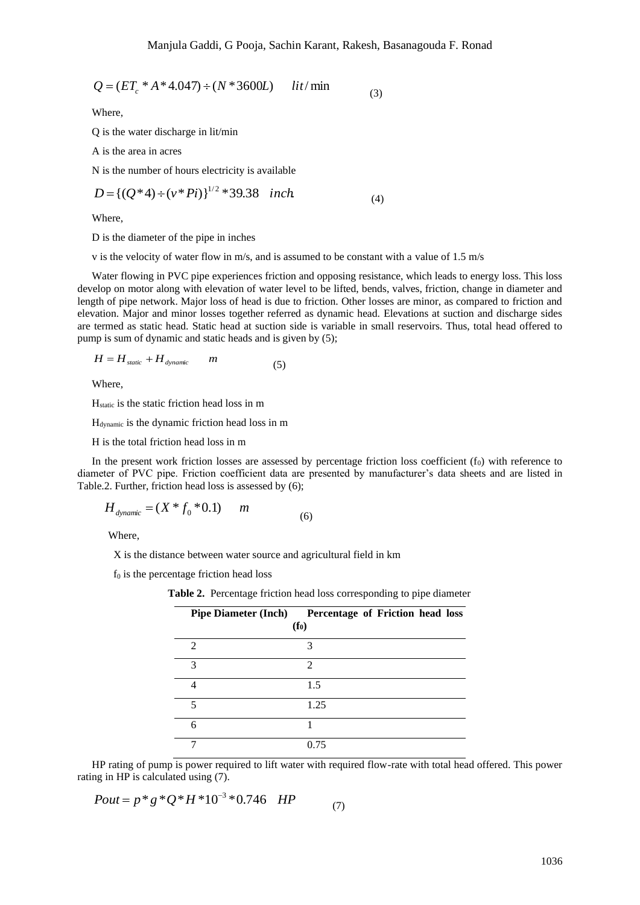$$
Q = (ET_c * A * 4.047) \div (N * 3600L) \quad lit/min
$$
 (3)

Where,

$$
D = \{ (Q^*4) \div (\nu^*Pi) \}^{1/2} * 39.38 \quad inch \tag{4}
$$

Where,

$$
H = H_{static} + H_{dynamic} \qquad m \tag{5}
$$

Where,

$$
H_{\text{dynamic}} = (X * f_0 * 0.1) \qquad m \tag{6}
$$

| $Q = (ET_c * A * 4.047) \div (N * 3600L)$                                                                                                                                                                                                                                                                                                                                                                                                                                                                                                                                                                                                         |                                                                       |                   | lit/min                          | (3) |  |      |
|---------------------------------------------------------------------------------------------------------------------------------------------------------------------------------------------------------------------------------------------------------------------------------------------------------------------------------------------------------------------------------------------------------------------------------------------------------------------------------------------------------------------------------------------------------------------------------------------------------------------------------------------------|-----------------------------------------------------------------------|-------------------|----------------------------------|-----|--|------|
| Where,                                                                                                                                                                                                                                                                                                                                                                                                                                                                                                                                                                                                                                            |                                                                       |                   |                                  |     |  |      |
| Q is the water discharge in lit/min                                                                                                                                                                                                                                                                                                                                                                                                                                                                                                                                                                                                               |                                                                       |                   |                                  |     |  |      |
| A is the area in acres                                                                                                                                                                                                                                                                                                                                                                                                                                                                                                                                                                                                                            |                                                                       |                   |                                  |     |  |      |
| N is the number of hours electricity is available                                                                                                                                                                                                                                                                                                                                                                                                                                                                                                                                                                                                 |                                                                       |                   |                                  |     |  |      |
| $D = \left\{ (Q^*4) \div (v^*Pi) \right\}^{1/2} * 39.38$ inch.                                                                                                                                                                                                                                                                                                                                                                                                                                                                                                                                                                                    |                                                                       |                   |                                  | (4) |  |      |
| Where,                                                                                                                                                                                                                                                                                                                                                                                                                                                                                                                                                                                                                                            |                                                                       |                   |                                  |     |  |      |
| D is the diameter of the pipe in inches                                                                                                                                                                                                                                                                                                                                                                                                                                                                                                                                                                                                           |                                                                       |                   |                                  |     |  |      |
| v is the velocity of water flow in $m/s$ , and is assumed to be constant with a value of 1.5 $m/s$                                                                                                                                                                                                                                                                                                                                                                                                                                                                                                                                                |                                                                       |                   |                                  |     |  |      |
| Water flowing in PVC pipe experiences friction and opposing resistance, which leads to energy loss. This loss<br>elop on motor along with elevation of water level to be lifted, bends, valves, friction, change in diameter and<br>th of pipe network. Major loss of head is due to friction. Other losses are minor, as compared to friction and<br>ation. Major and minor losses together referred as dynamic head. Elevations at suction and discharge sides<br>termed as static head. Static head at suction side is variable in small reservoirs. Thus, total head offered to<br>up is sum of dynamic and static heads and is given by (5); |                                                                       |                   |                                  |     |  |      |
| $H = H_{static} + H_{dynamic}$                                                                                                                                                                                                                                                                                                                                                                                                                                                                                                                                                                                                                    | $\boldsymbol{m}$                                                      | (5)               |                                  |     |  |      |
| Where,                                                                                                                                                                                                                                                                                                                                                                                                                                                                                                                                                                                                                                            |                                                                       |                   |                                  |     |  |      |
| $H_{static}$ is the static friction head loss in m                                                                                                                                                                                                                                                                                                                                                                                                                                                                                                                                                                                                |                                                                       |                   |                                  |     |  |      |
| H <sub>dynamic</sub> is the dynamic friction head loss in m                                                                                                                                                                                                                                                                                                                                                                                                                                                                                                                                                                                       |                                                                       |                   |                                  |     |  |      |
| H is the total friction head loss in m                                                                                                                                                                                                                                                                                                                                                                                                                                                                                                                                                                                                            |                                                                       |                   |                                  |     |  |      |
| In the present work friction losses are assessed by percentage friction loss coefficient $(f_0)$ with reference to<br>neter of PVC pipe. Friction coefficient data are presented by manufacturer's data sheets and are listed in<br>le.2. Further, friction head loss is assessed by (6);                                                                                                                                                                                                                                                                                                                                                         |                                                                       |                   |                                  |     |  |      |
| $H_{\text{dynamic}} = (X * f_0 * 0.1)$                                                                                                                                                                                                                                                                                                                                                                                                                                                                                                                                                                                                            | $\boldsymbol{m}$                                                      | (6)               |                                  |     |  |      |
| Where,                                                                                                                                                                                                                                                                                                                                                                                                                                                                                                                                                                                                                                            |                                                                       |                   |                                  |     |  |      |
| X is the distance between water source and agricultural field in km                                                                                                                                                                                                                                                                                                                                                                                                                                                                                                                                                                               |                                                                       |                   |                                  |     |  |      |
| $f_0$ is the percentage friction head loss                                                                                                                                                                                                                                                                                                                                                                                                                                                                                                                                                                                                        |                                                                       |                   |                                  |     |  |      |
|                                                                                                                                                                                                                                                                                                                                                                                                                                                                                                                                                                                                                                                   | Table 2. Percentage friction head loss corresponding to pipe diameter |                   |                                  |     |  |      |
|                                                                                                                                                                                                                                                                                                                                                                                                                                                                                                                                                                                                                                                   | <b>Pipe Diameter (Inch)</b>                                           | (f <sub>0</sub> ) | Percentage of Friction head loss |     |  |      |
| $\overline{2}$                                                                                                                                                                                                                                                                                                                                                                                                                                                                                                                                                                                                                                    |                                                                       |                   | 3                                |     |  |      |
| 3                                                                                                                                                                                                                                                                                                                                                                                                                                                                                                                                                                                                                                                 |                                                                       |                   | $\overline{2}$                   |     |  |      |
| $\overline{4}$                                                                                                                                                                                                                                                                                                                                                                                                                                                                                                                                                                                                                                    |                                                                       |                   | 1.5                              |     |  |      |
| 5                                                                                                                                                                                                                                                                                                                                                                                                                                                                                                                                                                                                                                                 |                                                                       |                   | 1.25                             |     |  |      |
| 6                                                                                                                                                                                                                                                                                                                                                                                                                                                                                                                                                                                                                                                 |                                                                       |                   | 1                                |     |  |      |
| 7                                                                                                                                                                                                                                                                                                                                                                                                                                                                                                                                                                                                                                                 |                                                                       |                   | 0.75                             |     |  |      |
| HP rating of pump is power required to lift water with required flow-rate with total head offered. This power<br>ng in HP is calculated using (7).                                                                                                                                                                                                                                                                                                                                                                                                                                                                                                |                                                                       |                   |                                  |     |  |      |
| $Pout = p * g * Q * H * 10^{-3} * 0.746$ HP                                                                                                                                                                                                                                                                                                                                                                                                                                                                                                                                                                                                       |                                                                       |                   | (7)                              |     |  |      |
|                                                                                                                                                                                                                                                                                                                                                                                                                                                                                                                                                                                                                                                   |                                                                       |                   |                                  |     |  | 1036 |

$$
Pout = p * g * Q * H * 10^{-3} * 0.746 \text{ HP} \tag{7}
$$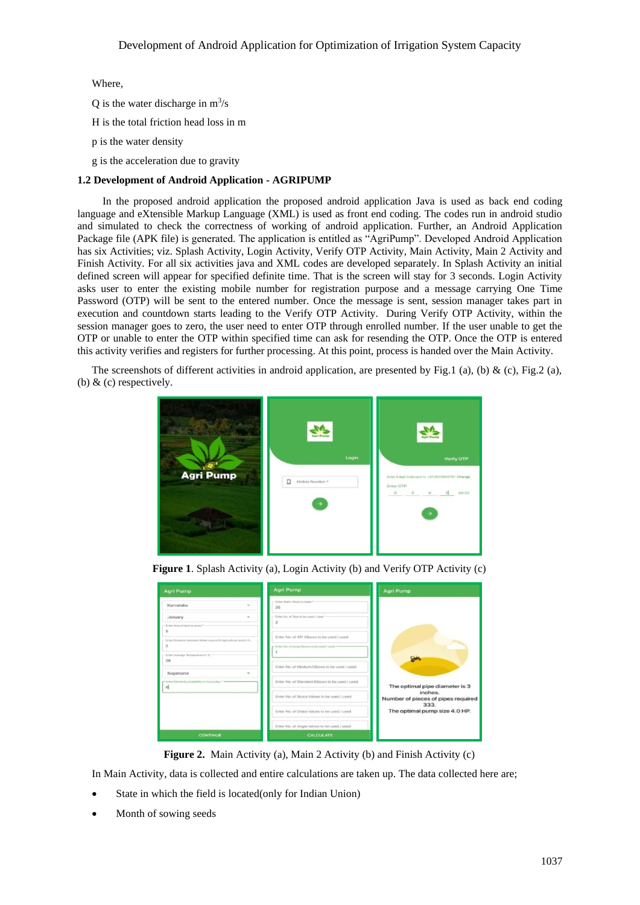Where,

Q is the water discharge in  $m^3/s$ 

H is the total friction head loss in m

p is the water density

g is the acceleration due to gravity

# **1.2 Development of Android Application - AGRIPUMP**

 In the proposed android application the proposed android application Java is used as back end coding language and eXtensible Markup Language (XML) is used as front end coding. The codes run in android studio and simulated to check the correctness of working of android application. Further, an Android Application Package file (APK file) is generated. The application is entitled as "AgriPump". Developed Android Application has six Activities; viz. Splash Activity, Login Activity, Verify OTP Activity, Main Activity, Main 2 Activity and Finish Activity. For all six activities java and XML codes are developed separately. In Splash Activity an initial defined screen will appear for specified definite time. That is the screen will stay for 3 seconds. Login Activity asks user to enter the existing mobile number for registration purpose and a message carrying One Time Password (OTP) will be sent to the entered number. Once the message is sent, session manager takes part in execution and countdown starts leading to the Verify OTP Activity. During Verify OTP Activity, within the session manager goes to zero, the user need to enter OTP through enrolled number. If the user unable to get the OTP or unable to enter the OTP within specified time can ask for resending the OTP. Once the OTP is entered this activity verifies and registers for further processing. At this point, process is handed over the Main Activity.

The screenshots of different activities in android application, are presented by Fig.1 (a), (b) & (c), Fig.2 (a), (b)  $&$  (c) respectively.



**Figure 1**. Splash Activity (a), Login Activity (b) and Verify OTP Activity (c)

| <b>Agri Pump</b>                                                                                                                  | <b>Agri Pump</b>                                                                            | <b>Agri Pump</b>                           |
|-----------------------------------------------------------------------------------------------------------------------------------|---------------------------------------------------------------------------------------------|--------------------------------------------|
| Karnataka                                                                                                                         | Enter Static Head in meter *<br>25                                                          |                                            |
| January<br>$\sim$<br>Eviter Area of land in acres * -                                                                             | Einter No. of Tees to be used / used                                                        |                                            |
| s<br>Enter Distance between Water square & Agricultural land in K.<br>$\overline{\mathbf{z}}$<br>Enter Average Temperature in 'C. | Enter No. of 45" Elbows to be used / used<br>r Enter No. of Long Elbows to be used / used = |                                            |
| 29<br>Sugarcane                                                                                                                   | Enter No. of Medium Elbows to be used / used                                                |                                            |
| r linter Dectroity availability in twors/day<br>하                                                                                 | Enter No. of Standard Elbows to be used / used                                              | The optimal pipe diameter is 3<br>inches.  |
|                                                                                                                                   | Enter No. of Sluice Valves to be used / used                                                | Number of pieces of pipes required<br>333. |
|                                                                                                                                   | Enter No. of Globe Valves to be used / used                                                 | The optimal pump size 4.0 HP.              |
|                                                                                                                                   | Enter No. of Angle Valves to be used / used                                                 |                                            |
| <b>CONTINUE</b>                                                                                                                   | <b>CALCULATE</b>                                                                            |                                            |

**Figure 2.** Main Activity (a), Main 2 Activity (b) and Finish Activity (c)

In Main Activity, data is collected and entire calculations are taken up. The data collected here are;

- State in which the field is located(only for Indian Union)
- Month of sowing seeds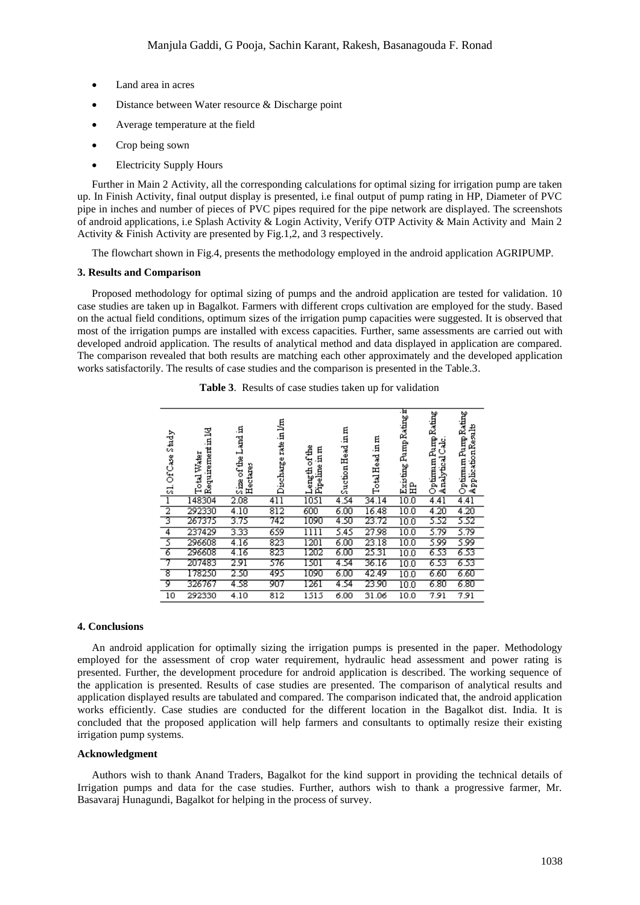- Land area in acres
- Distance between Water resource & Discharge point
- Average temperature at the field
- Crop being sown
- Electricity Supply Hours

Further in Main 2 Activity, all the corresponding calculations for optimal sizing for irrigation pump are taken up. In Finish Activity, final output display is presented, i.e final output of pump rating in HP, Diameter of PVC pipe in inches and number of pieces of PVC pipes required for the pipe network are displayed. The screenshots of android applications, i.e Splash Activity & Login Activity, Verify OTP Activity & Main Activity and Main 2 Activity & Finish Activity are presented by Fig.1,2, and 3 respectively.

The flowchart shown in Fig.4, presents the methodology employed in the android application AGRIPUMP.

#### **3. Results and Comparison**

Proposed methodology for optimal sizing of pumps and the android application are tested for validation. 10 case studies are taken up in Bagalkot. Farmers with different crops cultivation are employed for the study. Based on the actual field conditions, optimum sizes of the irrigation pump capacities were suggested. It is observed that most of the irrigation pumps are installed with excess capacities. Further, same assessments are carried out with developed android application. The results of analytical method and data displayed in application are compared. The comparison revealed that both results are matching each other approximately and the developed application works satisfactorily. The results of case studies and the comparison is presented in the Table.3.

| Study<br>\$1. Of Case | Requirement in 1/d<br>Total Water | Size of the Land in<br>Hectares | Discharge rate in l/m | Length of the<br>Pipeline in m | Suction Head in m | Total Head in m | Existing Pamp Rating it<br>岊 | Optimam Pamp Rating<br>يلدى<br>Analytical | Optimum Pump Rating<br>ApplicationResults |
|-----------------------|-----------------------------------|---------------------------------|-----------------------|--------------------------------|-------------------|-----------------|------------------------------|-------------------------------------------|-------------------------------------------|
| ī                     | 148304                            | 2.08                            | 411                   | 1051                           | 4.54              | 34.14           | 10.0                         | 4.41                                      | 4.41                                      |
| $\frac{2}{3}$         | 292330                            | 4.10                            | $\overline{812}$      | 600                            | 6.00              | 16.48           | 10.0                         | 4.20                                      | 4.20                                      |
|                       | 267375                            | 3.75                            | 742                   | 1090                           | 4.50              | 23.72           | 10.0                         | 5.52                                      | 5.52                                      |
| $\overline{4}$        | 237429                            | 3.33                            | 659                   | 1111                           | 5.45              | 27.98           | 10.0                         | 5.79                                      | 5.79                                      |
| $\overline{5}$        | 296608                            | 4.16                            | 823                   | $\overline{1201}$              | 6.00              | 23.18           | 10.0                         | 5.99                                      | 5.99                                      |
| ъ                     | 296608                            | 4.16                            | 823                   | 1202                           | 6.00              | 25.31           | 10.0                         | 6.53                                      | 6.53                                      |
| 7                     | 207483                            | 2.91                            | 376                   | 1501                           | 4.54              | 36.16           | 10.0                         | 6.53                                      | 6.53                                      |
| ड                     | 178250                            | 2.50                            | 495                   | 1090                           | 6.00              | 42.49           | 10.0                         | 6.60                                      | 6.60                                      |
| ক                     | 326767                            | 4.58                            | 907                   | 1261                           | 4.54              | 23.90           | 10.0                         | 6.80                                      | 6.80                                      |
| 10                    | 292330                            | 4.10                            | 812                   | 1515                           | 6.00              | 31.06           | 10.0                         | 7.91                                      | 7.91                                      |

| Table 3. Results of case studies taken up for validation |  |
|----------------------------------------------------------|--|
|----------------------------------------------------------|--|

#### **4. Conclusions**

An android application for optimally sizing the irrigation pumps is presented in the paper. Methodology employed for the assessment of crop water requirement, hydraulic head assessment and power rating is presented. Further, the development procedure for android application is described. The working sequence of the application is presented. Results of case studies are presented. The comparison of analytical results and application displayed results are tabulated and compared. The comparison indicated that, the android application works efficiently. Case studies are conducted for the different location in the Bagalkot dist. India. It is concluded that the proposed application will help farmers and consultants to optimally resize their existing irrigation pump systems.

### **Acknowledgment**

Authors wish to thank Anand Traders, Bagalkot for the kind support in providing the technical details of Irrigation pumps and data for the case studies. Further, authors wish to thank a progressive farmer, Mr. Basavaraj Hunagundi, Bagalkot for helping in the process of survey.